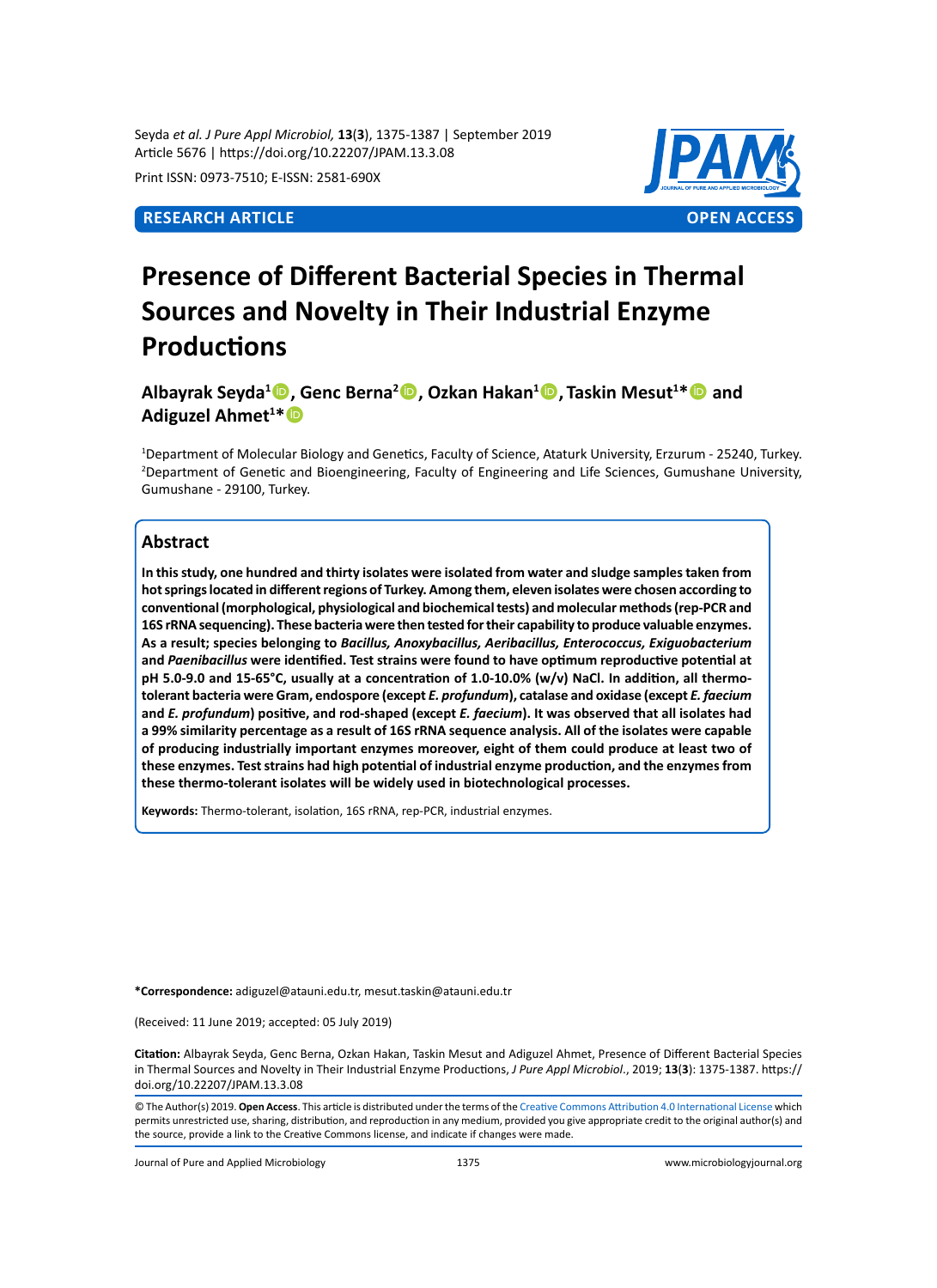Seyda *et al. J Pure Appl Microbiol,* **13**(**3**), 1375-1387 | September 2019 Article 5676 | https://doi.org/10.22207/JPAM.13.3.08

Print ISSN: 0973-7510; E-ISSN: 2581-690X



# **Presence of Different Bacterial Species in Thermal Sources and Novelty in Their Industrial Enzyme Productions**

**Albayrak Seyda<sup>1</sup> , Genc Berna<sup>2</sup> , Ozkan Hakan<sup>1</sup> , Taskin Mesut<sup>1</sup> \* and Adiguzel Ahmet<sup>1</sup> \***

1 Department of Molecular Biology and Genetics, Faculty of Science, Ataturk University, Erzurum - 25240, Turkey. 2 Department of Genetic and Bioengineering, Faculty of Engineering and Life Sciences, Gumushane University, Gumushane - 29100, Turkey.

# **Abstract**

**In this study, one hundred and thirty isolates were isolated from water and sludge samples taken from hot springs located in different regions of Turkey. Among them, eleven isolates were chosen according to conventional (morphological, physiological and biochemical tests) and molecular methods (rep-PCR and 16S rRNA sequencing). These bacteria were then tested for their capability to produce valuable enzymes. As a result; species belonging to** *Bacillus, Anoxybacillus, Aeribacillus, Enterococcus, Exiguobacterium* **and** *Paenibacillus* **were identified. Test strains were found to have optimum reproductive potential at pH 5.0-9.0 and 15-65°C, usually at a concentration of 1.0-10.0% (w/v) NaCl. In addition, all thermotolerant bacteria were Gram, endospore (except** *E. profundum***), catalase and oxidase (except** *E. faecium* **and** *E. profundum***) positive, and rod-shaped (except** *E. faecium***). It was observed that all isolates had a 99% similarity percentage as a result of 16S rRNA sequence analysis. All of the isolates were capable of producing industrially important enzymes moreover, eight of them could produce at least two of these enzymes. Test strains had high potential of industrial enzyme production, and the enzymes from these thermo-tolerant isolates will be widely used in biotechnological processes.**

**Keywords:** Thermo-tolerant, isolation, 16S rRNA, rep-PCR, industrial enzymes.

**\*Correspondence:** adiguzel@atauni.edu.tr, mesut.taskin@atauni.edu.tr

(Received: 11 June 2019; accepted: 05 July 2019)

**Citation:** Albayrak Seyda, Genc Berna, Ozkan Hakan, Taskin Mesut and Adiguzel Ahmet, Presence of Different Bacterial Species in Thermal Sources and Novelty in Their Industrial Enzyme Productions, *J Pure Appl Microbiol*., 2019; **13**(**3**): 1375-1387. https:// doi.org/10.22207/JPAM.13.3.08

© The Author(s) 2019. **Open Access**. This article is distributed under the terms of the [Creative Commons Attribution 4.0 International License](https://creativecommons.org/licenses/by/4.0/) which permits unrestricted use, sharing, distribution, and reproduction in any medium, provided you give appropriate credit to the original author(s) and the source, provide a link to the Creative Commons license, and indicate if changes were made.

Journal of Pure and Applied Microbiology 1375 www.microbiologyjournal.org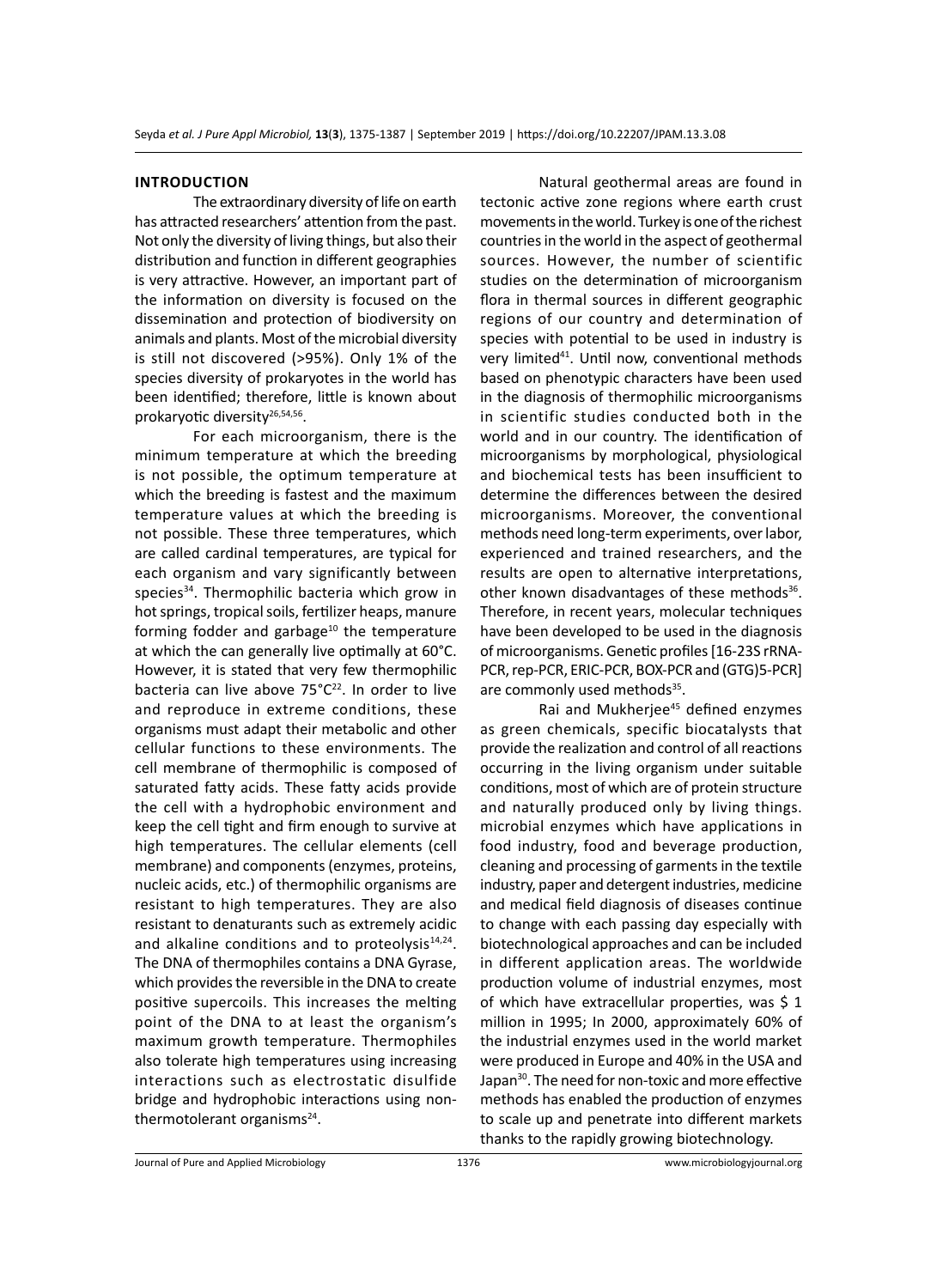#### **Introduction**

The extraordinary diversity of life on earth has attracted researchers' attention from the past. Not only the diversity of living things, but also their distribution and function in different geographies is very attractive. However, an important part of the information on diversity is focused on the dissemination and protection of biodiversity on animals and plants. Most of the microbial diversity is still not discovered (>95%). Only 1% of the species diversity of prokaryotes in the world has been identified; therefore, little is known about prokaryotic diversity<sup>26,54,56</sup>.

For each microorganism, there is the minimum temperature at which the breeding is not possible, the optimum temperature at which the breeding is fastest and the maximum temperature values at which the breeding is not possible. These three temperatures, which are called cardinal temperatures, are typical for each organism and vary significantly between species<sup>34</sup>. Thermophilic bacteria which grow in hot springs, tropical soils, fertilizer heaps, manure forming fodder and garbage $10$  the temperature at which the can generally live optimally at 60°C. However, it is stated that very few thermophilic bacteria can live above  $75^{\circ}C^{22}$ . In order to live and reproduce in extreme conditions, these organisms must adapt their metabolic and other cellular functions to these environments. The cell membrane of thermophilic is composed of saturated fatty acids. These fatty acids provide the cell with a hydrophobic environment and keep the cell tight and firm enough to survive at high temperatures. The cellular elements (cell membrane) and components (enzymes, proteins, nucleic acids, etc.) of thermophilic organisms are resistant to high temperatures. They are also resistant to denaturants such as extremely acidic and alkaline conditions and to proteolysis $14,24$ . The DNA of thermophiles contains a DNA Gyrase, which provides the reversible in the DNA to create positive supercoils. This increases the melting point of the DNA to at least the organism's maximum growth temperature. Thermophiles also tolerate high temperatures using increasing interactions such as electrostatic disulfide bridge and hydrophobic interactions using nonthermotolerant organisms $24$ .

Natural geothermal areas are found in tectonic active zone regions where earth crust movements in the world. Turkey is one of the richest countries in the world in the aspect of geothermal sources. However, the number of scientific studies on the determination of microorganism flora in thermal sources in different geographic regions of our country and determination of species with potential to be used in industry is very limited<sup>41</sup>. Until now, conventional methods based on phenotypic characters have been used in the diagnosis of thermophilic microorganisms in scientific studies conducted both in the world and in our country. The identification of microorganisms by morphological, physiological and biochemical tests has been insufficient to determine the differences between the desired microorganisms. Moreover, the conventional methods need long-term experiments, over labor, experienced and trained researchers, and the results are open to alternative interpretations, other known disadvantages of these methods<sup>36</sup>. Therefore, in recent years, molecular techniques have been developed to be used in the diagnosis of microorganisms. Genetic profiles [16-23S rRNA-PCR, rep-PCR, ERIC-PCR, BOX-PCR and (GTG)5-PCR] are commonly used methods<sup>35</sup>.

Rai and Mukherjee<sup>45</sup> defined enzymes as green chemicals, specific biocatalysts that provide the realization and control of all reactions occurring in the living organism under suitable conditions, most of which are of protein structure and naturally produced only by living things. microbial enzymes which have applications in food industry, food and beverage production, cleaning and processing of garments in the textile industry, paper and detergent industries, medicine and medical field diagnosis of diseases continue to change with each passing day especially with biotechnological approaches and can be included in different application areas. The worldwide production volume of industrial enzymes, most of which have extracellular properties, was \$1 million in 1995; In 2000, approximately 60% of the industrial enzymes used in the world market were produced in Europe and 40% in the USA and Japan<sup>30</sup>. The need for non-toxic and more effective methods has enabled the production of enzymes to scale up and penetrate into different markets thanks to the rapidly growing biotechnology.

Journal of Pure and Applied Microbiology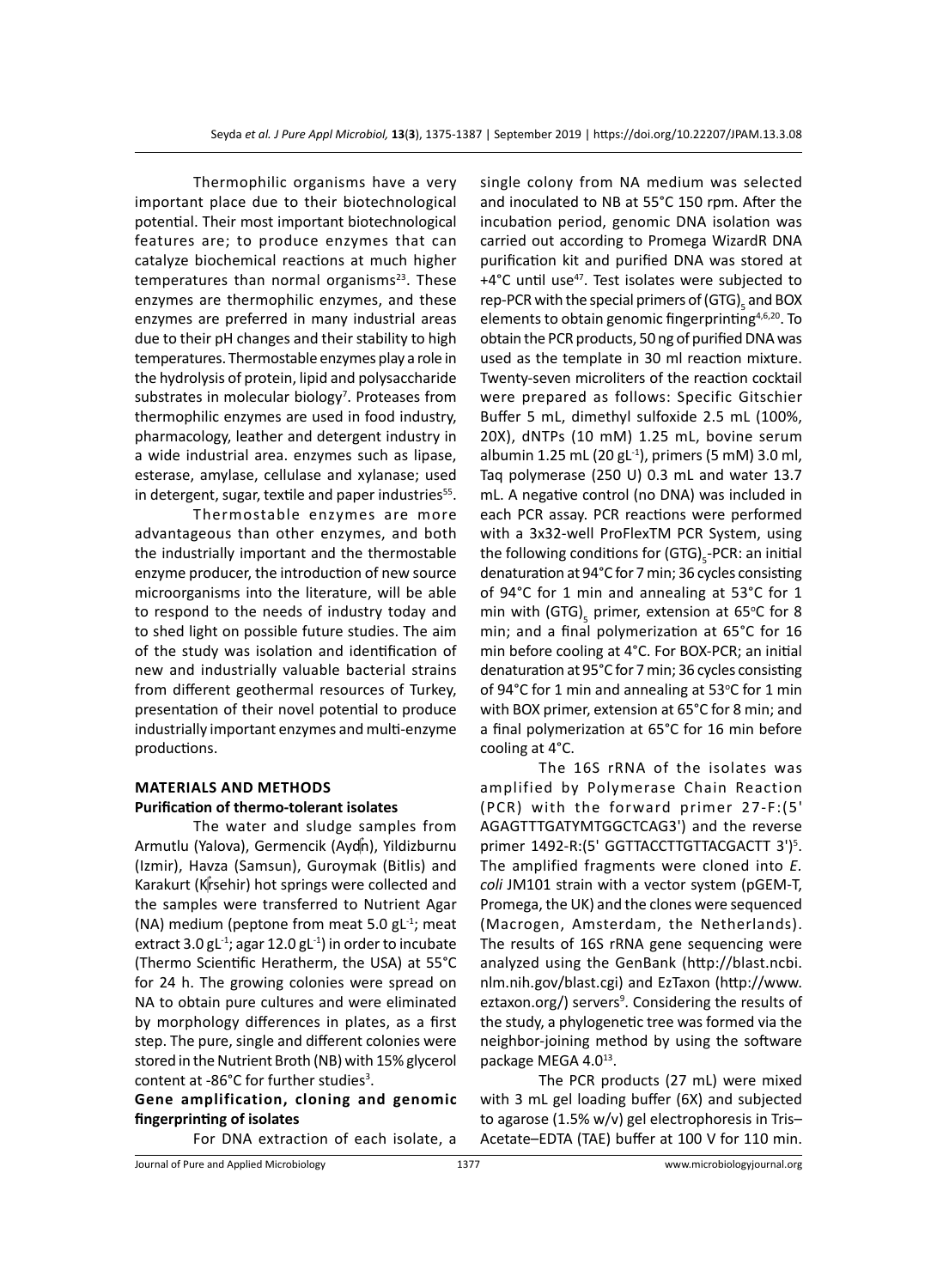Thermophilic organisms have a very important place due to their biotechnological potential. Their most important biotechnological features are; to produce enzymes that can catalyze biochemical reactions at much higher temperatures than normal organisms $23$ . These enzymes are thermophilic enzymes, and these enzymes are preferred in many industrial areas due to their pH changes and their stability to high temperatures. Thermostable enzymes play a role in the hydrolysis of protein, lipid and polysaccharide substrates in molecular biology<sup>7</sup>. Proteases from thermophilic enzymes are used in food industry, pharmacology, leather and detergent industry in a wide industrial area. enzymes such as lipase, esterase, amylase, cellulase and xylanase; used in detergent, sugar, textile and paper industries<sup>55</sup>.

Thermostable enzymes are more advantageous than other enzymes, and both the industrially important and the thermostable enzyme producer, the introduction of new source microorganisms into the literature, will be able to respond to the needs of industry today and to shed light on possible future studies. The aim of the study was isolation and identification of new and industrially valuable bacterial strains from different geothermal resources of Turkey, presentation of their novel potential to produce industrially important enzymes and multi-enzyme productions.

# **Materials and Methods Purification of thermo-tolerant isolates**

The water and sludge samples from Armutlu (Yalova), Germencik (Aydn), Yildizburnu (Izmir), Havza (Samsun), Guroymak (Bitlis) and Karakurt (Kirsehir) hot springs were collected and the samples were transferred to Nutrient Agar (NA) medium (peptone from meat 5.0  $gL^{-1}$ ; meat extract 3.0 gL<sup>-1</sup>; agar 12.0 gL<sup>-1</sup>) in order to incubate (Thermo Scientific Heratherm, the USA) at 55°C for 24 h. The growing colonies were spread on NA to obtain pure cultures and were eliminated by morphology differences in plates, as a first step. The pure, single and different colonies were stored in the Nutrient Broth (NB) with 15% glycerol content at -86°C for further studies<sup>3</sup>.

# **Gene amplification, cloning and genomic fingerprinting of isolates**

For DNA extraction of each isolate, a

single colony from NA medium was selected and inoculated to NB at 55°C 150 rpm. After the incubation period, genomic DNA isolation was carried out according to Promega WizardR DNA purification kit and purified DNA was stored at +4°C until use<sup>47</sup>. Test isolates were subjected to rep-PCR with the special primers of (GTG)<sub>s</sub> and BOX elements to obtain genomic fingerprinting<sup>4,6,20</sup>. To obtain the PCR products, 50 ng of purified DNA was used as the template in 30 ml reaction mixture. Twenty-seven microliters of the reaction cocktail were prepared as follows: Specific Gitschier Buffer 5 mL, dimethyl sulfoxide 2.5 mL (100%, 20X), dNTPs (10 mM) 1.25 mL, bovine serum albumin 1.25 mL (20 gL $^{-1}$ ), primers (5 mM) 3.0 ml, Taq polymerase (250 U) 0.3 mL and water 13.7 mL. A negative control (no DNA) was included in each PCR assay. PCR reactions were performed with a 3x32-well ProFlexTM PCR System, using the following conditions for (GTG)<sub>5</sub>-PCR: an initial denaturation at 94°C for 7 min; 36 cycles consisting of 94°C for 1 min and annealing at 53°C for 1 min with (GTG) $_{5}$  primer, extension at 65°C for 8 min; and a final polymerization at 65°C for 16 min before cooling at 4°C. For BOX-PCR; an initial denaturation at 95°C for 7 min; 36 cycles consisting of 94°C for 1 min and annealing at 53°C for 1 min with BOX primer, extension at 65°C for 8 min; and a final polymerization at 65°C for 16 min before cooling at 4°C.

The 16S rRNA of the isolates was amplified by Polymerase Chain Reaction (PCR) with the forward primer 27-F:(5' AGAGTTTGATYMTGGCTCAG3') and the reverse primer 1492-R:(5' GGTTACCTTGTTACGACTT 3')<sup>5</sup>. The amplified fragments were cloned into *E. coli* JM101 strain with a vector system (pGEM-T, Promega, the UK) and the clones were sequenced (Macrogen, Amsterdam, the Netherlands). The results of 16S rRNA gene sequencing were analyzed using the GenBank (http://blast.ncbi. nlm.nih.gov/blast.cgi) and EzTaxon (http://www. eztaxon.org/) servers<sup>9</sup>. Considering the results of the study, a phylogenetic tree was formed via the neighbor-joining method by using the software package MEGA 4.0<sup>13</sup>.

The PCR products (27 mL) were mixed with 3 mL gel loading buffer (6X) and subjected to agarose (1.5% w/v) gel electrophoresis in Tris– Acetate–EDTA (TAE) buffer at 100 V for 110 min.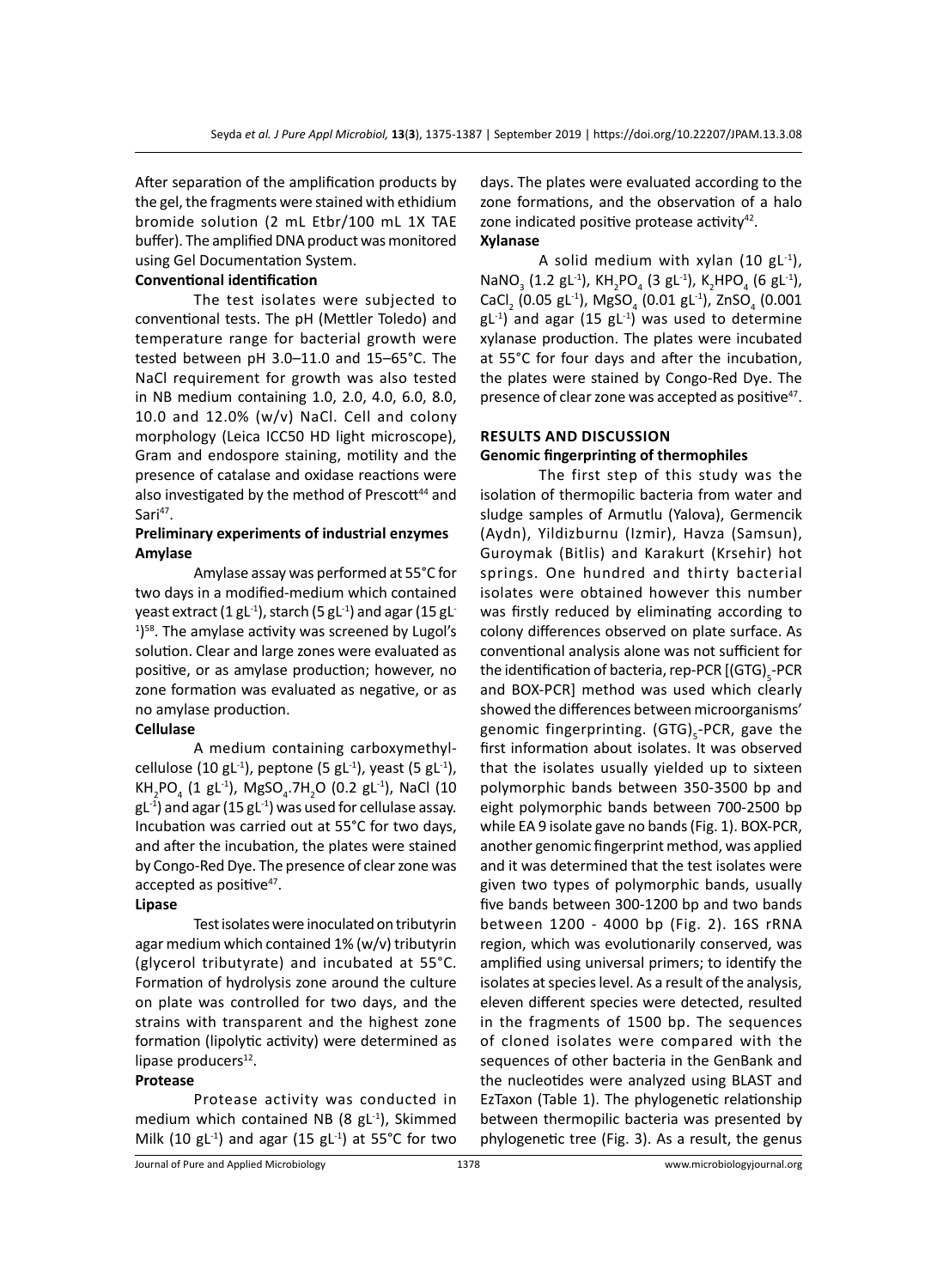After separation of the amplification products by the gel, the fragments were stained with ethidium bromide solution (2 mL Etbr/100 mL 1X TAE buffer). The amplified DNA product was monitored using Gel Documentation System.

# **Conventional identification**

The test isolates were subjected to conventional tests. The pH (Mettler Toledo) and temperature range for bacterial growth were tested between pH 3.0–11.0 and 15–65°C. The NaCl requirement for growth was also tested in NB medium containing 1.0, 2.0, 4.0, 6.0, 8.0, 10.0 and 12.0% (w/v) NaCl. Cell and colony morphology (Leica ICC50 HD light microscope), Gram and endospore staining, motility and the presence of catalase and oxidase reactions were also investigated by the method of Prescott<sup>44</sup> and Sari<sup>47</sup>.

# **Preliminary experiments of industrial enzymes Amylase**

Amylase assay was performed at 55°C for two days in a modified-medium which contained yeast extract (1 gL<sup>-1</sup>), starch (5 gL<sup>-1</sup>) and agar (15 gL<sup>-</sup> <sup>1</sup>)<sup>58</sup>. The amylase activity was screened by Lugol's solution. Clear and large zones were evaluated as positive, or as amylase production; however, no zone formation was evaluated as negative, or as no amylase production.

# **Cellulase**

A medium containing carboxymethylcellulose (10 gL<sup>-1</sup>), peptone (5 gL<sup>-1</sup>), yeast (5 gL<sup>-1</sup>), KH<sub>2</sub>PO<sub>4</sub> (1 gL<sup>-1</sup>), MgSO<sub>4</sub>.7H<sub>2</sub>O (0.2 gL<sup>-1</sup>), NaCl (10  $gl<sup>-1</sup>$ ) and agar (15 gL<sup>-1</sup>) was used for cellulase assay. Incubation was carried out at 55°C for two days, and after the incubation, the plates were stained by Congo-Red Dye. The presence of clear zone was accepted as positive<sup>47</sup>.

#### **Lipase**

Test isolates were inoculated on tributyrin agar medium which contained 1% (w/v) tributyrin (glycerol tributyrate) and incubated at 55°C. Formation of hydrolysis zone around the culture on plate was controlled for two days, and the strains with transparent and the highest zone formation (lipolytic activity) were determined as lipase producers $^{12}$ .

#### **Protease**

Protease activity was conducted in medium which contained NB (8  $gt^{-1}$ ), Skimmed Milk (10 gL<sup>-1</sup>) and agar (15 gL<sup>-1</sup>) at 55°C for two days. The plates were evaluated according to the zone formations, and the observation of a halo zone indicated positive protease activity<sup>42</sup>. **Xylanase**

A solid medium with xylan (10  $gL^{-1}$ ),  $\text{NaNO}_3$  (1.2 gL<sup>-1</sup>), KH<sub>2</sub>PO<sub>4</sub> (3 gL<sup>-1</sup>), K<sub>2</sub>HPO<sub>4</sub> (6 gL<sup>-1</sup>), CaCl<sub>2</sub> (0.05 gL<sup>-1</sup>), MgSO<sub>4</sub> (0.01 gL<sup>-1</sup>), ZnSO<sub>4</sub> (0.001  $gl^{-1}$ ) and agar (15 gL<sup>-1</sup>) was used to determine xylanase production. The plates were incubated at 55°C for four days and after the incubation, the plates were stained by Congo-Red Dye. The presence of clear zone was accepted as positive<sup>47</sup>.

# **Results and Discussion Genomic fingerprinting of thermophiles**

The first step of this study was the isolation of thermopilic bacteria from water and sludge samples of Armutlu (Yalova), Germencik (Aydn), Yildizburnu (Izmir), Havza (Samsun), Guroymak (Bitlis) and Karakurt (Krsehir) hot springs. One hundred and thirty bacterial isolates were obtained however this number was firstly reduced by eliminating according to colony differences observed on plate surface. As conventional analysis alone was not sufficient for the identification of bacteria, rep-PCR [(GTG)<sub>5</sub>-PCR and BOX-PCR] method was used which clearly showed the differences between microorganisms' genomic fingerprinting. (GTG)<sub>5</sub>-PCR, gave the first information about isolates. It was observed that the isolates usually yielded up to sixteen polymorphic bands between 350-3500 bp and eight polymorphic bands between 700-2500 bp while EA 9 isolate gave no bands (Fig. 1). BOX-PCR, another genomic fingerprint method, was applied and it was determined that the test isolates were given two types of polymorphic bands, usually five bands between 300-1200 bp and two bands between 1200 - 4000 bp (Fig. 2). 16S rRNA region, which was evolutionarily conserved, was amplified using universal primers; to identify the isolates at species level. As a result of the analysis, eleven different species were detected, resulted in the fragments of 1500 bp. The sequences of cloned isolates were compared with the sequences of other bacteria in the GenBank and the nucleotides were analyzed using BLAST and EzTaxon (Table 1). The phylogenetic relationship between thermopilic bacteria was presented by phylogenetic tree (Fig. 3). As a result, the genus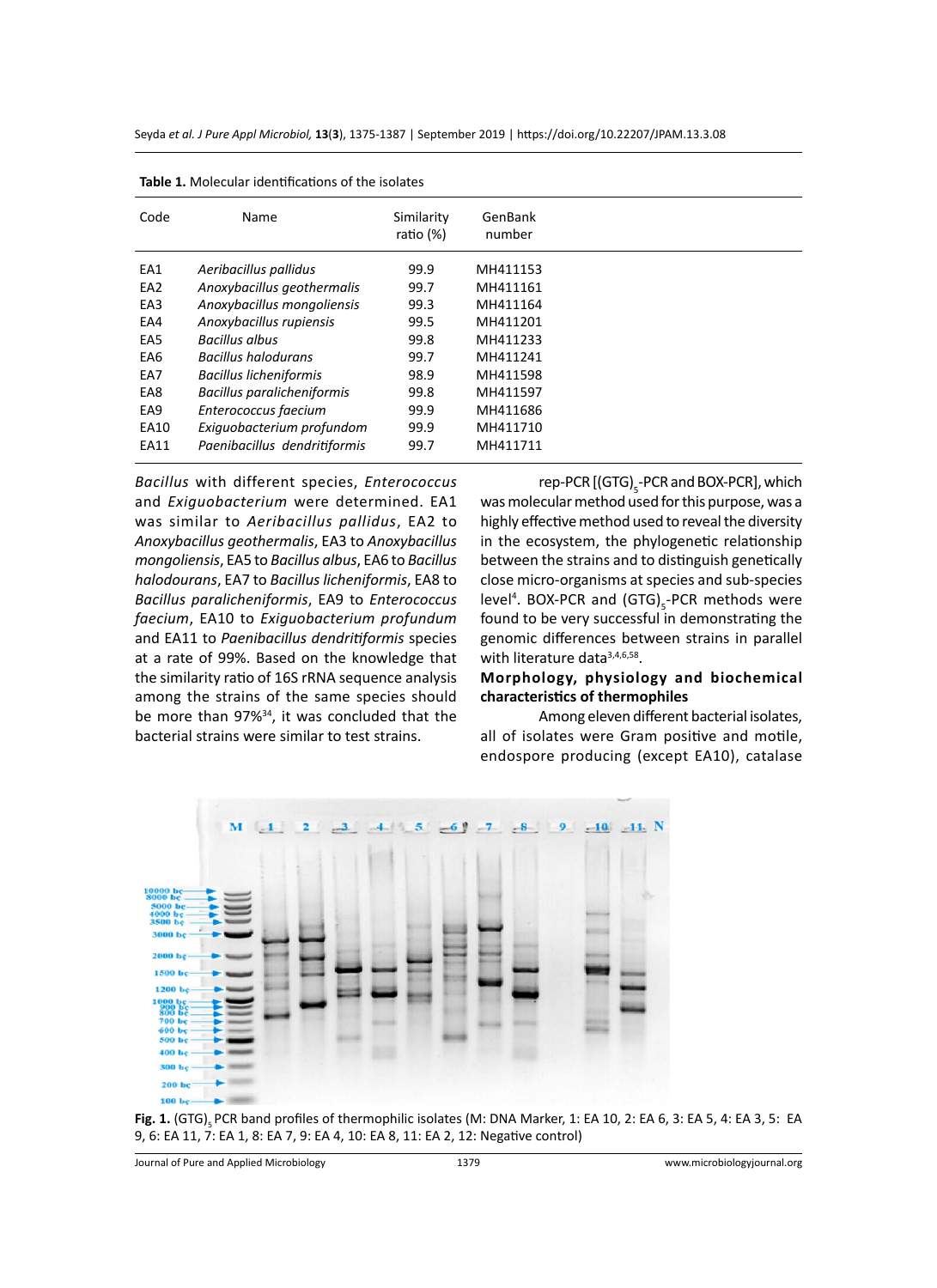| Code            | Name                              | Similarity<br>ratio (%) | GenBank<br>number |  |
|-----------------|-----------------------------------|-------------------------|-------------------|--|
| EA1             | Aeribacillus pallidus             | 99.9                    | MH411153          |  |
| EA <sub>2</sub> | Anoxybacillus geothermalis        | 99.7                    | MH411161          |  |
| EA3             | Anoxybacillus mongoliensis        | 99.3                    | MH411164          |  |
| EA4             | Anoxybacillus rupiensis           | 99.5                    | MH411201          |  |
| EA5             | <b>Bacillus albus</b>             | 99.8                    | MH411233          |  |
| EA6             | Bacillus halodurans               | 99.7                    | MH411241          |  |
| EA7             | <b>Bacillus licheniformis</b>     | 98.9                    | MH411598          |  |
| EA8             | <b>Bacillus paralicheniformis</b> | 99.8                    | MH411597          |  |
| EA9             | Enterococcus faecium              | 99.9                    | MH411686          |  |
| EA10            | Exiguobacterium profundom         | 99.9                    | MH411710          |  |
| EA11            | Paenibacillus dendritiformis      | 99.7                    | MH411711          |  |

| <b>Table 1.</b> Molecular identifications of the isolates |
|-----------------------------------------------------------|
|-----------------------------------------------------------|

*Bacillus* with different species, *Enterococcus*  and *Exiguobacterium* were determined. EA1 was similar to *Aeribacillus pallidus*, EA2 to *Anoxybacillus geothermalis*, EA3 to *Anoxybacillus mongoliensis*, EA5 to *Bacillus albus*, EA6 to *Bacillus halodourans*, EA7 to *Bacillus licheniformis*, EA8 to *Bacillus paralicheniformis*, EA9 to *Enterococcus faecium*, EA10 to *Exiguobacterium profundum*  and EA11 to *Paenibacillus dendritiformis* species at a rate of 99%. Based on the knowledge that the similarity ratio of 16S rRNA sequence analysis among the strains of the same species should be more than 97%<sup>34</sup>, it was concluded that the bacterial strains were similar to test strains.

rep-PCR [(GTG)<sub>5</sub>-PCR and BOX-PCR], which was molecular method used for this purpose, was a highly effective method used to reveal the diversity in the ecosystem, the phylogenetic relationship between the strains and to distinguish genetically close micro-organisms at species and sub-species level<sup>4</sup>. BOX-PCR and (GTG)<sub>5</sub>-PCR methods were found to be very successful in demonstrating the genomic differences between strains in parallel with literature data<sup>3,4,6,58</sup>.

# **Morphology, physiology and biochemical characteristics of thermophiles**

Among eleven different bacterial isolates, all of isolates were Gram positive and motile, endospore producing (except EA10), catalase



Fig. 1. (GTG)<sub>c</sub> PCR band profiles of thermophilic isolates (M: DNA Marker, 1: EA 10, 2: EA 6, 3: EA 5, 4: EA 3, 5: EA 9, 6: EA 11, 7: EA 1, 8: EA 7, 9: EA 4, 10: EA 8, 11: EA 2, 12: Negative control)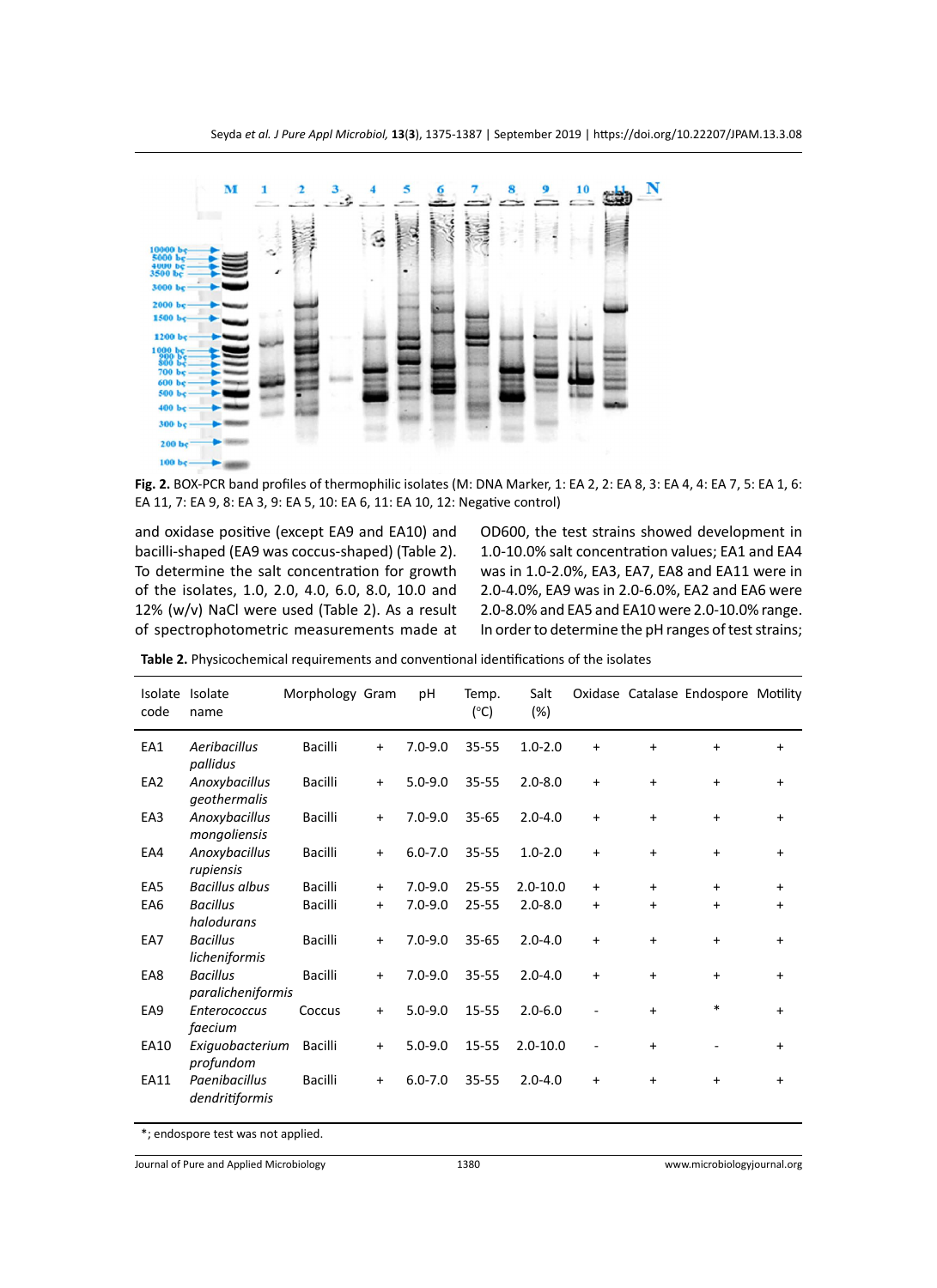

**Fig. 2.** BOX-PCR band profiles of thermophilic isolates (M: DNA Marker, 1: EA 2, 2: EA 8, 3: EA 4, 4: EA 7, 5: EA 1, 6: EA 11, 7: EA 9, 8: EA 3, 9: EA 5, 10: EA 6, 11: EA 10, 12: Negative control)

and oxidase positive (except EA9 and EA10) and bacilli-shaped (EA9 was coccus-shaped) (Table 2). To determine the salt concentration for growth of the isolates, 1.0, 2.0, 4.0, 6.0, 8.0, 10.0 and 12% (w/v) NaCl were used (Table 2). As a result of spectrophotometric measurements made at OD600, the test strains showed development in 1.0-10.0% salt concentration values; EA1 and EA4 was in 1.0-2.0%, EA3, EA7, EA8 and EA11 were in 2.0-4.0%, EA9 was in 2.0-6.0%, EA2 and EA6 were 2.0-8.0% and EA5 and EA10 were 2.0-10.0% range. In order to determine the pH ranges of test strains;

| Isolate<br>code | Isolate<br>name                      | Morphology Gram |           | pH          | Temp.<br>$(^{\circ}C)$ | Salt<br>(%)  |           |           | Oxidase Catalase Endospore Motility |           |
|-----------------|--------------------------------------|-----------------|-----------|-------------|------------------------|--------------|-----------|-----------|-------------------------------------|-----------|
| EA1             | Aeribacillus<br>pallidus             | <b>Bacilli</b>  | $\ddot{}$ | $7.0 - 9.0$ | $35 - 55$              | $1.0 - 2.0$  | $+$       | $+$       | $\ddot{}$                           | $\ddot{}$ |
| EA <sub>2</sub> | Anoxybacillus<br>geothermalis        | <b>Bacilli</b>  | $\ddot{}$ | $5.0 - 9.0$ | 35-55                  | $2.0 - 8.0$  | $+$       | $+$       | $+$                                 | $\ddot{}$ |
| EA3             | Anoxybacillus<br>mongoliensis        | Bacilli         | $\ddot{}$ | $7.0 - 9.0$ | $35 - 65$              | $2.0 - 4.0$  | $\ddot{}$ | $+$       | $+$                                 | $\ddot{}$ |
| EA4             | Anoxybacillus<br>rupiensis           | Bacilli         | $+$       | $6.0 - 7.0$ | $35 - 55$              | $1.0 - 2.0$  | $\ddot{}$ | $+$       | $+$                                 | $\ddot{}$ |
| EA5             | <b>Bacillus albus</b>                | Bacilli         | $\ddot{}$ | $7.0 - 9.0$ | $25 - 55$              | $2.0 - 10.0$ | $\ddot{}$ | $+$       | $+$                                 | $\ddot{}$ |
| EA6             | <b>Bacillus</b><br>halodurans        | <b>Bacilli</b>  | $+$       | $7.0 - 9.0$ | $25 - 55$              | $2.0 - 8.0$  | +         | $\ddot{}$ | $\ddot{}$                           | $\ddot{}$ |
| EA7             | <b>Bacillus</b><br>licheniformis     | Bacilli         | $+$       | $7.0 - 9.0$ | $35 - 65$              | $2.0 - 4.0$  | $\ddot{}$ | $+$       | $+$                                 | $\ddot{}$ |
| EA8             | <b>Bacillus</b><br>paralicheniformis | <b>Bacilli</b>  | $\ddot{}$ | $7.0 - 9.0$ | $35 - 55$              | $2.0 - 4.0$  | $\ddot{}$ | $\ddot{}$ | $\ddot{}$                           | $\ddot{}$ |
| EA <sub>9</sub> | Enterococcus<br>faecium              | Coccus          | $\ddot{}$ | $5.0 - 9.0$ | 15-55                  | $2.0 - 6.0$  |           | $+$       | $\ast$                              | $\ddot{}$ |
| EA10            | Exiguobacterium<br>profundom         | Bacilli         | $\ddot{}$ | $5.0 - 9.0$ | 15-55                  | $2.0 - 10.0$ |           | $+$       |                                     | $\ddot{}$ |
| EA11            | Paenibacillus<br>dendritiformis      | Bacilli         | $\ddot{}$ | $6.0 - 7.0$ | $35 - 55$              | $2.0 - 4.0$  | $+$       | $+$       | $+$                                 | $\ddot{}$ |

**Table 2.** Physicochemical requirements and conventional identifications of the isolates

\*; endospore test was not applied.

Journal of Pure and Applied Microbiology 1380 www.microbiologyjournal.org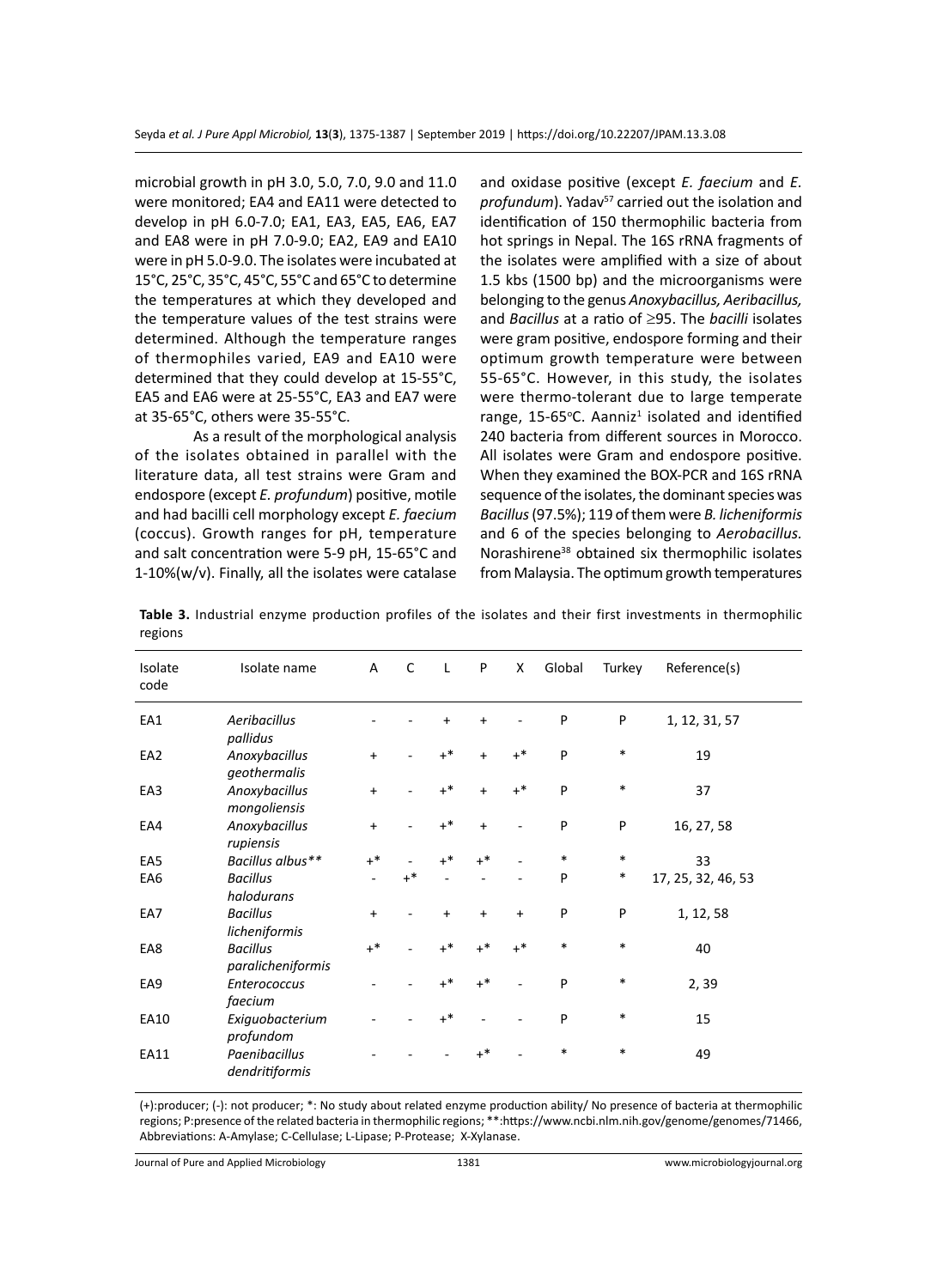microbial growth in pH 3.0, 5.0, 7.0, 9.0 and 11.0 were monitored; EA4 and EA11 were detected to develop in pH 6.0-7.0; EA1, EA3, EA5, EA6, EA7 and EA8 were in pH 7.0-9.0; EA2, EA9 and EA10 were in pH 5.0-9.0. The isolates were incubated at 15°C, 25°C, 35°C, 45°C, 55°C and 65°C to determine the temperatures at which they developed and the temperature values of the test strains were determined. Although the temperature ranges of thermophiles varied, EA9 and EA10 were determined that they could develop at 15-55°C, EA5 and EA6 were at 25-55°C, EA3 and EA7 were at 35-65°C, others were 35-55°C.

As a result of the morphological analysis of the isolates obtained in parallel with the literature data, all test strains were Gram and endospore (except *E. profundum*) positive, motile and had bacilli cell morphology except *E. faecium* (coccus). Growth ranges for pH, temperature and salt concentration were 5-9 pH, 15-65°C and 1-10%(w/v). Finally, all the isolates were catalase and oxidase positive (except *E. faecium* and *E.*  profundum). Yadav<sup>57</sup> carried out the isolation and identification of 150 thermophilic bacteria from hot springs in Nepal. The 16S rRNA fragments of the isolates were amplified with a size of about 1.5 kbs (1500 bp) and the microorganisms were belonging to the genus *Anoxybacillus, Aeribacillus,*  and *Bacillus* at a ratio of ≥95. The *bacilli* isolates were gram positive, endospore forming and their optimum growth temperature were between 55-65°C. However, in this study, the isolates were thermo-tolerant due to large temperate range, 15-65°C. Aanniz<sup>1</sup> isolated and identified 240 bacteria from different sources in Morocco. All isolates were Gram and endospore positive. When they examined the BOX-PCR and 16S rRNA sequence of the isolates, the dominant species was *Bacillus* (97.5%); 119 of them were *B. licheniformis* and 6 of the species belonging to *Aerobacillus.*  Norashirene38 obtained six thermophilic isolates from Malaysia. The optimum growth temperatures

| Isolate<br>code | Isolate name                         | A         | C     | L         | P         | X         | Global | Turkey | Reference(s)       |  |
|-----------------|--------------------------------------|-----------|-------|-----------|-----------|-----------|--------|--------|--------------------|--|
| EA1             | Aeribacillus<br>pallidus             |           |       | $\ddot{}$ | $\ddot{}$ |           | P      | P      | 1, 12, 31, 57      |  |
| EA <sub>2</sub> | Anoxybacillus<br>geothermalis        | $\ddot{}$ |       | $+$ *     | $+$       | $+$ *     | P      | $\ast$ | 19                 |  |
| EA3             | Anoxybacillus<br>mongoliensis        | $\ddot{}$ |       | $+$ *     | $+$       | $+$ *     | P      | $\ast$ | 37                 |  |
| EA4             | Anoxybacillus<br>rupiensis           | $\ddot{}$ |       | $+$ *     | $\ddot{}$ |           | P      | P      | 16, 27, 58         |  |
| EA5             | Bacillus albus**                     | $+^*$     |       | $+$ *     | $+$ *     |           | $\ast$ | $\ast$ | 33                 |  |
| EA6             | <b>Bacillus</b><br>halodurans        |           | $+$ * |           |           |           | P      | $\ast$ | 17, 25, 32, 46, 53 |  |
| EA7             | <b>Bacillus</b><br>licheniformis     | $\ddot{}$ |       | $+$       | $+$       | $\ddot{}$ | P      | P      | 1, 12, 58          |  |
| EA8             | <b>Bacillus</b><br>paralicheniformis | $+^*$     |       | $+$ *     | $+$ *     | $+^*$     | $\ast$ | $\ast$ | 40                 |  |
| EA9             | Enterococcus<br>faecium              |           |       | $+$ *     | $+$ *     |           | P      | $\ast$ | 2,39               |  |
| EA10            | Exiguobacterium<br>profundom         |           |       | $^{*}$    |           |           | P      | $\ast$ | 15                 |  |
| EA11            | Paenibacillus<br>dendritiformis      |           |       |           | $^{*}$    |           | $\ast$ | $\ast$ | 49                 |  |

**Table 3.** Industrial enzyme production profiles of the isolates and their first investments in thermophilic regions

(+):producer; (-): not producer; \*: No study about related enzyme production ability/ No presence of bacteria at thermophilic regions; P:presence of the related bacteria in thermophilic regions; \*\*:https://www.ncbi.nlm.nih.gov/genome/genomes/71466, Abbreviations: A-Amylase; C-Cellulase; L-Lipase; P-Protease; X-Xylanase.

Journal of Pure and Applied Microbiology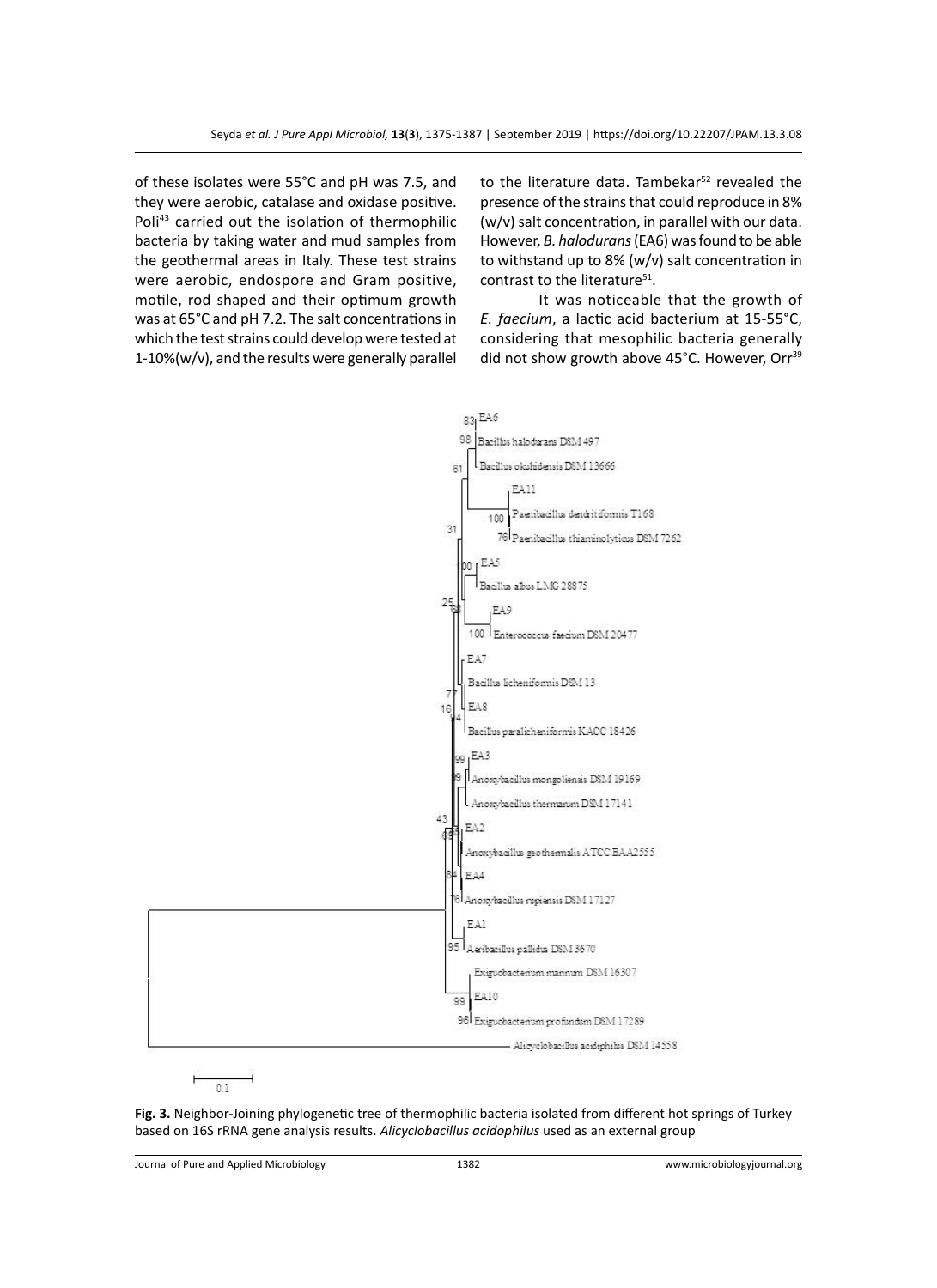of these isolates were 55°C and pH was 7.5, and they were aerobic, catalase and oxidase positive. Poli<sup>43</sup> carried out the isolation of thermophilic bacteria by taking water and mud samples from the geothermal areas in Italy. These test strains were aerobic, endospore and Gram positive, motile, rod shaped and their optimum growth was at 65°C and pH 7.2. The salt concentrations in which the test strains could develop were tested at 1-10%(w/v), and the results were generally parallel

to the literature data. Tambekar<sup>52</sup> revealed the presence of the strains that could reproduce in 8% (w/v) salt concentration, in parallel with our data. However, *B. halodurans* (EA6) was found to be able to withstand up to 8% (w/v) salt concentration in contrast to the literature<sup>51</sup>.

It was noticeable that the growth of *E. faecium*, a lactic acid bacterium at 15-55°C, considering that mesophilic bacteria generally did not show growth above 45°C. However, Orr<sup>39</sup>



 $0.1$ 

**Fig. 3.** Neighbor-Joining phylogenetic tree of thermophilic bacteria isolated from different hot springs of Turkey based on 16S rRNA gene analysis results. *Alicyclobacillus acidophilus* used as an external group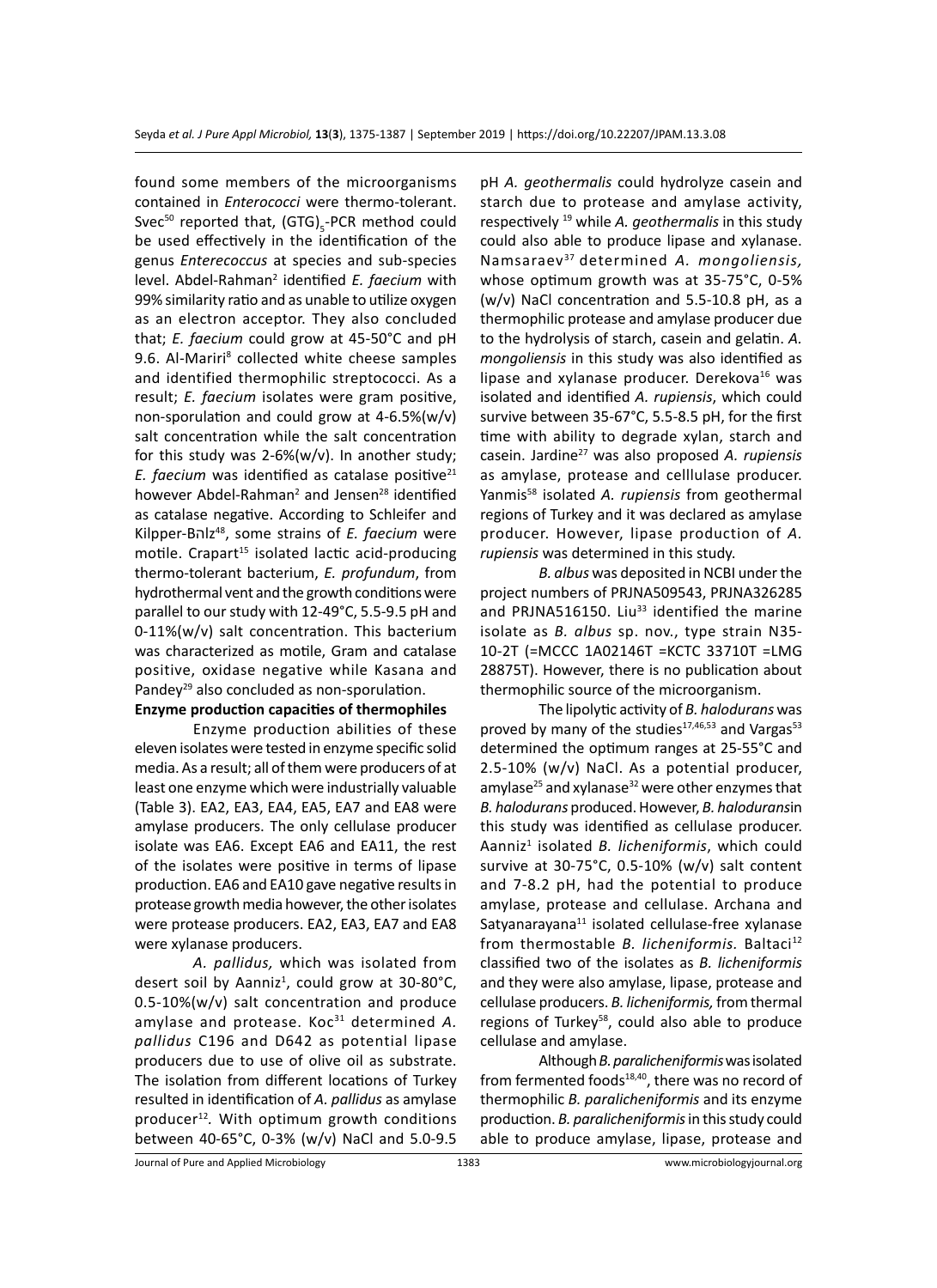found some members of the microorganisms contained in *Enterococci* were thermo-tolerant. Svec $^{50}$  reported that, (GTG)<sub>5</sub>-PCR method could be used effectively in the identification of the genus *Enterecoccus* at species and sub-species level. Abdel-Rahman<sup>2</sup> identified E. faecium with 99% similarity ratio and as unable to utilize oxygen as an electron acceptor. They also concluded that; *E. faecium* could grow at 45-50°C and pH 9.6. Al-Mariri<sup>8</sup> collected white cheese samples and identified thermophilic streptococci. As a result; *E. faecium* isolates were gram positive, non-sporulation and could grow at 4-6.5%(w/v) salt concentration while the salt concentration for this study was 2-6%(w/v). In another study;  $E.$  faecium was identified as catalase positive<sup>21</sup> however Abdel-Rahman<sup>2</sup> and Jensen<sup>28</sup> identified as catalase negative. According to Schleifer and Kilpper-Bהlz48, some strains of *E. faecium* were motile. Crapart<sup>15</sup> isolated lactic acid-producing thermo-tolerant bacterium, *E. profundum*, from hydrothermal vent and the growth conditions were parallel to our study with 12-49°C, 5.5-9.5 pH and 0-11%(w/v) salt concentration. This bacterium was characterized as motile, Gram and catalase positive, oxidase negative while Kasana and Pandey<sup>29</sup> also concluded as non-sporulation.

# **Enzyme production capacities of thermophiles**

Enzyme production abilities of these eleven isolates were tested in enzyme specific solid media. As a result; all of them were producers of at least one enzyme which were industrially valuable (Table 3). EA2, EA3, EA4, EA5, EA7 and EA8 were amylase producers. The only cellulase producer isolate was EA6. Except EA6 and EA11, the rest of the isolates were positive in terms of lipase production. EA6 and EA10 gave negative results in protease growth media however, the other isolates were protease producers. EA2, EA3, EA7 and EA8 were xylanase producers.

*A. pallidus,* which was isolated from desert soil by Aanniz<sup>1</sup>, could grow at 30-80°C, 0.5-10%(w/v) salt concentration and produce amylase and protease. Koc<sup>31</sup> determined A. *pallidus* C196 and D642 as potential lipase producers due to use of olive oil as substrate. The isolation from different locations of Turkey resulted in identification of *A. pallidus* as amylase producer<sup>12</sup>. With optimum growth conditions between 40-65°C, 0-3% (w/v) NaCl and 5.0-9.5

pH *A. geothermalis* could hydrolyze casein and starch due to protease and amylase activity, respectively 19 while *A. geothermalis* in this study could also able to produce lipase and xylanase. Namsaraev37 determined *A. mongoliensis,*  whose optimum growth was at 35-75°C, 0-5% (w/v) NaCl concentration and 5.5-10.8 pH, as a thermophilic protease and amylase producer due to the hydrolysis of starch, casein and gelatin. *A. mongoliensis* in this study was also identified as lipase and xylanase producer. Derekova<sup>16</sup> was isolated and identified *A. rupiensis*, which could survive between 35-67°C, 5.5-8.5 pH, for the first time with ability to degrade xylan, starch and casein. Jardine27 was also proposed *A. rupiensis* as amylase, protease and celllulase producer. Yanmis58 isolated *A. rupiensis* from geothermal regions of Turkey and it was declared as amylase producer. However, lipase production of *A. rupiensis* was determined in this study.

*B. albus* was deposited in NCBI under the project numbers of PRJNA509543, PRJNA326285 and PRJNA516150. Liu<sup>33</sup> identified the marine isolate as *B. albus* sp. nov., type strain N35- 10-2T (=MCCC 1A02146T =KCTC 33710T =LMG 28875T). However, there is no publication about thermophilic source of the microorganism.

The lipolytic activity of *B. halodurans* was proved by many of the studies<sup>17,46,53</sup> and Vargas<sup>53</sup> determined the optimum ranges at 25-55°C and 2.5-10% (w/v) NaCl. As a potential producer, amylase<sup>25</sup> and xylanase<sup>32</sup> were other enzymes that *B. halodurans* produced. However, *B. halodurans*in this study was identified as cellulase producer. Aanniz1 isolated *B. licheniformis*, which could survive at 30-75°C, 0.5-10% (w/v) salt content and 7-8.2 pH, had the potential to produce amylase, protease and cellulase. Archana and Satyanarayana<sup>11</sup> isolated cellulase-free xylanase from thermostable *B. licheniformis*. Baltaci<sup>12</sup> classified two of the isolates as *B. licheniformis* and they were also amylase, lipase, protease and cellulase producers. *B. licheniformis,* from thermal regions of Turkey $58$ , could also able to produce cellulase and amylase.

Although *B. paralicheniformis* was isolated from fermented foods<sup>18,40</sup>, there was no record of thermophilic *B. paralicheniformis* and its enzyme production. *B. paralicheniformis* in this study could able to produce amylase, lipase, protease and

Journal of Pure and Applied Microbiology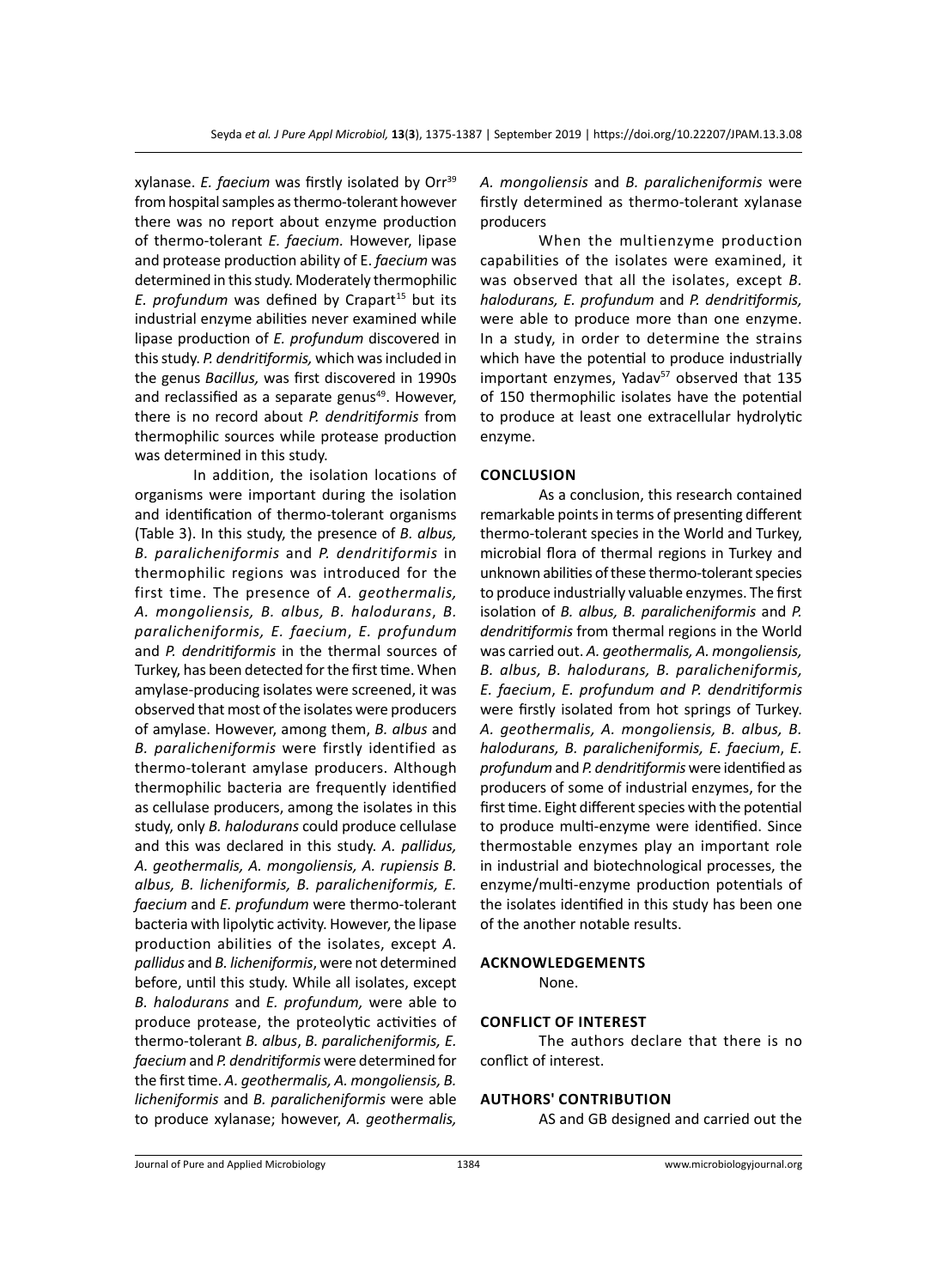xylanase. *E. faecium* was firstly isolated by Orr<sup>39</sup> from hospital samples as thermo-tolerant however there was no report about enzyme production of thermo-tolerant *E. faecium.* However, lipase and protease production ability of E. *faecium* was determined in this study. Moderately thermophilic *E. profundum* was defined by Crapart<sup>15</sup> but its industrial enzyme abilities never examined while lipase production of *E. profundum* discovered in this study. *P. dendritiformis,* which was included in the genus *Bacillus,* was first discovered in 1990s and reclassified as a separate genus<sup>49</sup>. However, there is no record about *P. dendritiformis* from thermophilic sources while protease production was determined in this study.

In addition, the isolation locations of organisms were important during the isolation and identification of thermo-tolerant organisms (Table 3). In this study, the presence of *B. albus, B. paralicheniformis* and *P. dendritiformis* in thermophilic regions was introduced for the first time. The presence of *A. geothermalis, A. mongoliensis, B. albus, B. halodurans*, *B. paralicheniformis, E. faecium*, *E. profundum* and *P. dendritiformis* in the thermal sources of Turkey, has been detected for the first time. When amylase-producing isolates were screened, it was observed that most of the isolates were producers of amylase. However, among them, *B. albus* and *B. paralicheniformis* were firstly identified as thermo-tolerant amylase producers. Although thermophilic bacteria are frequently identified as cellulase producers, among the isolates in this study, only *B. halodurans* could produce cellulase and this was declared in this study. *A. pallidus, A. geothermalis, A. mongoliensis, A. rupiensis B. albus, B. licheniformis, B. paralicheniformis, E. faecium* and *E. profundum* were thermo-tolerant bacteria with lipolytic activity. However, the lipase production abilities of the isolates, except *A. pallidus* and *B. licheniformis*, were not determined before, until this study. While all isolates, except *B. halodurans* and *E. profundum,* were able to produce protease, the proteolytic activities of thermo-tolerant *B. albus*, *B. paralicheniformis, E. faecium* and *P. dendritiformis* were determined for the first time. *A. geothermalis, A. mongoliensis, B. licheniformis* and *B. paralicheniformis* were able to produce xylanase; however, *A. geothermalis,*  *A. mongoliensis* and *B. paralicheniformis* were firstly determined as thermo-tolerant xylanase producers

When the multienzyme production capabilities of the isolates were examined, it was observed that all the isolates, except *B. halodurans, E. profundum* and *P. dendritiformis,* were able to produce more than one enzyme. In a study, in order to determine the strains which have the potential to produce industrially important enzymes, Yadav<sup>57</sup> observed that 135 of 150 thermophilic isolates have the potential to produce at least one extracellular hydrolytic enzyme.

#### **Conclusion**

As a conclusion, this research contained remarkable points in terms of presenting different thermo-tolerant species in the World and Turkey, microbial flora of thermal regions in Turkey and unknown abilities of these thermo-tolerant species to produce industrially valuable enzymes. The first isolation of *B. albus, B. paralicheniformis* and *P. dendritiformis* from thermal regions in the World was carried out. *A. geothermalis, A. mongoliensis, B. albus, B. halodurans, B. paralicheniformis, E. faecium*, *E. profundum and P. dendritiformis* were firstly isolated from hot springs of Turkey. *A. geothermalis, A. mongoliensis, B. albus, B. halodurans, B. paralicheniformis, E. faecium*, *E. profundum* and *P. dendritiformis* were identified as producers of some of industrial enzymes, for the first time. Eight different species with the potential to produce multi-enzyme were identified. Since thermostable enzymes play an important role in industrial and biotechnological processes, the enzyme/multi-enzyme production potentials of the isolates identified in this study has been one of the another notable results.

#### **AcknowledgementS**

None.

#### **Conflict of interest**

The authors declare that there is no conflict of interest.

#### **Authors' Contribution**

AS and GB designed and carried out the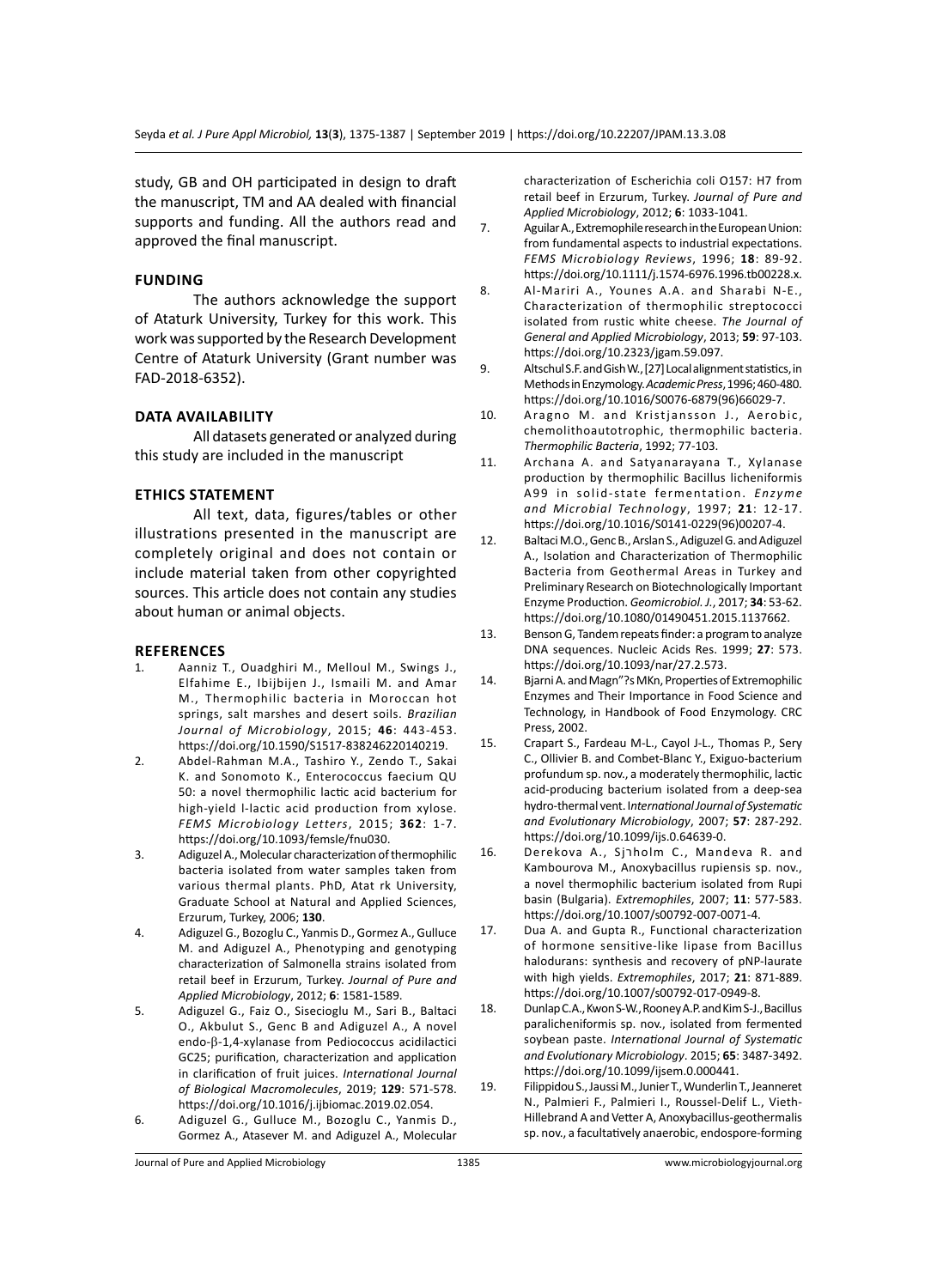study, GB and OH participated in design to draft the manuscript, TM and AA dealed with financial supports and funding. All the authors read and approved the final manuscript.

#### **Funding**

The authors acknowledge the support of Ataturk University, Turkey for this work. This work was supported by the Research Development Centre of Ataturk University (Grant number was FAD-2018-6352).

### **Data Availability**

All datasets generated or analyzed during this study are included in the manuscript

# **Ethics Statement**

All text, data, figures/tables or other illustrations presented in the manuscript are completely original and does not contain or include material taken from other copyrighted sources. This article does not contain any studies about human or animal objects.

#### **References**

- 1. Aanniz T., Ouadghiri M., Melloul M., Swings J., Elfahime E., Ibijbijen J., Ismaili M. and Amar M., Thermophilic bacteria in Moroccan hot springs, salt marshes and desert soils. *Brazilian Journal of Microbiology*, 2015; **46**: 443-453. https://doi.org/10.1590/S1517-838246220140219.
- 2. Abdel-Rahman M.A., Tashiro Y., Zendo T., Sakai K. and Sonomoto K., Enterococcus faecium QU 50: a novel thermophilic lactic acid bacterium for high-yield l-lactic acid production from xylose. *FEMS Microbiology Letters*, 2015; **362**: 1-7. https://doi.org/10.1093/femsle/fnu030.
- 3. Adiguzel A., Molecular characterization of thermophilic bacteria isolated from water samples taken from various thermal plants. PhD, Atat rk University, Graduate School at Natural and Applied Sciences, Erzurum, Turkey, 2006; **130**.
- 4. Adiguzel G., Bozoglu C., Yanmis D., Gormez A., Gulluce M. and Adiguzel A., Phenotyping and genotyping characterization of Salmonella strains isolated from retail beef in Erzurum, Turkey. *Journal of Pure and Applied Microbiology*, 2012; **6**: 1581-1589.
- 5. Adiguzel G., Faiz O., Sisecioglu M., Sari B., Baltaci O., Akbulut S., Genc B and Adiguzel A., A novel endo-β-1,4-xylanase from Pediococcus acidilactici GC25; purification, characterization and application in clarification of fruit juices. *International Journal of Biological Macromolecules*, 2019; **129**: 571-578. https://doi.org/10.1016/j.ijbiomac.2019.02.054.
- 6. Adiguzel G., Gulluce M., Bozoglu C., Yanmis D., Gormez A., Atasever M. and Adiguzel A., Molecular

characterization of Escherichia coli O157: H7 from retail beef in Erzurum, Turkey. *Journal of Pure and Applied Microbiology*, 2012; **6**: 1033-1041.

- 7. Aguilar A., Extremophile research in the European Union: from fundamental aspects to industrial expectations. *FEMS Microbiology Reviews*, 1996; **18**: 89-92. https://doi.org/10.1111/j.1574-6976.1996.tb00228.x.
- 8. Al-Mariri A., Younes A.A. and Sharabi N-E., Characterization of thermophilic streptococci isolated from rustic white cheese. *The Journal of General and Applied Microbiology*, 2013; **59**: 97-103. https://doi.org/10.2323/jgam.59.097.
- 9. Altschul S.F. and Gish W., [27] Local alignment statistics, in Methods in Enzymology. *Academic Press*, 1996; 460-480. https://doi.org/10.1016/S0076-6879(96)66029-7.
- 10. Aragno M. and Kristjansson J., Aerobic, chemolithoautotrophic, thermophilic bacteria. *Thermophilic Bacteria*, 1992; 77-103.
- 11. Archana A. and Satyanarayana T., Xylanase production by thermophilic Bacillus licheniformis A99 in solid-state fermentation. *Enzyme and Microbial Technology*, 1997; **21**: 12-17. https://doi.org/10.1016/S0141-0229(96)00207-4.
- 12. Baltaci M.O., Genc B., Arslan S., Adiguzel G. and Adiguzel A., Isolation and Characterization of Thermophilic Bacteria from Geothermal Areas in Turkey and Preliminary Research on Biotechnologically Important Enzyme Production. *Geomicrobiol. J.*, 2017; **34**: 53-62. https://doi.org/10.1080/01490451.2015.1137662.
- 13. Benson G, Tandem repeats finder: a program to analyze DNA sequences. Nucleic Acids Res. 1999; **27**: 573. https://doi.org/10.1093/nar/27.2.573.
- 14. Bjarni A. and Magn"?s MKn, Properties of Extremophilic Enzymes and Their Importance in Food Science and Technology, in Handbook of Food Enzymology. CRC Press, 2002.
- 15. Crapart S., Fardeau M-L., Cayol J-L., Thomas P., Sery C., Ollivier B. and Combet-Blanc Y., Exiguo-bacterium profundum sp. nov., a moderately thermophilic, lactic acid-producing bacterium isolated from a deep-sea hydro-thermal vent. I*nternational Journal of Systematic and Evolutionary Microbiology*, 2007; **57**: 287-292. https://doi.org/10.1099/ijs.0.64639-0.
- 16. Derekova A., Sjaholm C., Mandeva R. and Kambourova M., Anoxybacillus rupiensis sp. nov., a novel thermophilic bacterium isolated from Rupi basin (Bulgaria). *Extremophiles*, 2007; **11**: 577-583. https://doi.org/10.1007/s00792-007-0071-4.
- 17. Dua A. and Gupta R., Functional characterization of hormone sensitive-like lipase from Bacillus halodurans: synthesis and recovery of pNP-laurate with high yields. *Extremophiles*, 2017; **21**: 871-889. https://doi.org/10.1007/s00792-017-0949-8.
- 18. Dunlap C.A., Kwon S-W., Rooney A.P. and Kim S-J., Bacillus paralicheniformis sp. nov., isolated from fermented soybean paste. *International Journal of Systematic and Evolutionary Microbiology*. 2015; **65**: 3487-3492. https://doi.org/10.1099/ijsem.0.000441.
- 19. Filippidou S., Jaussi M., Junier T., Wunderlin T., Jeanneret N., Palmieri F., Palmieri I., Roussel-Delif L., Vieth-Hillebrand A and Vetter A, Anoxybacillus-geothermalis sp. nov., a facultatively anaerobic, endospore-forming

Journal of Pure and Applied Microbiology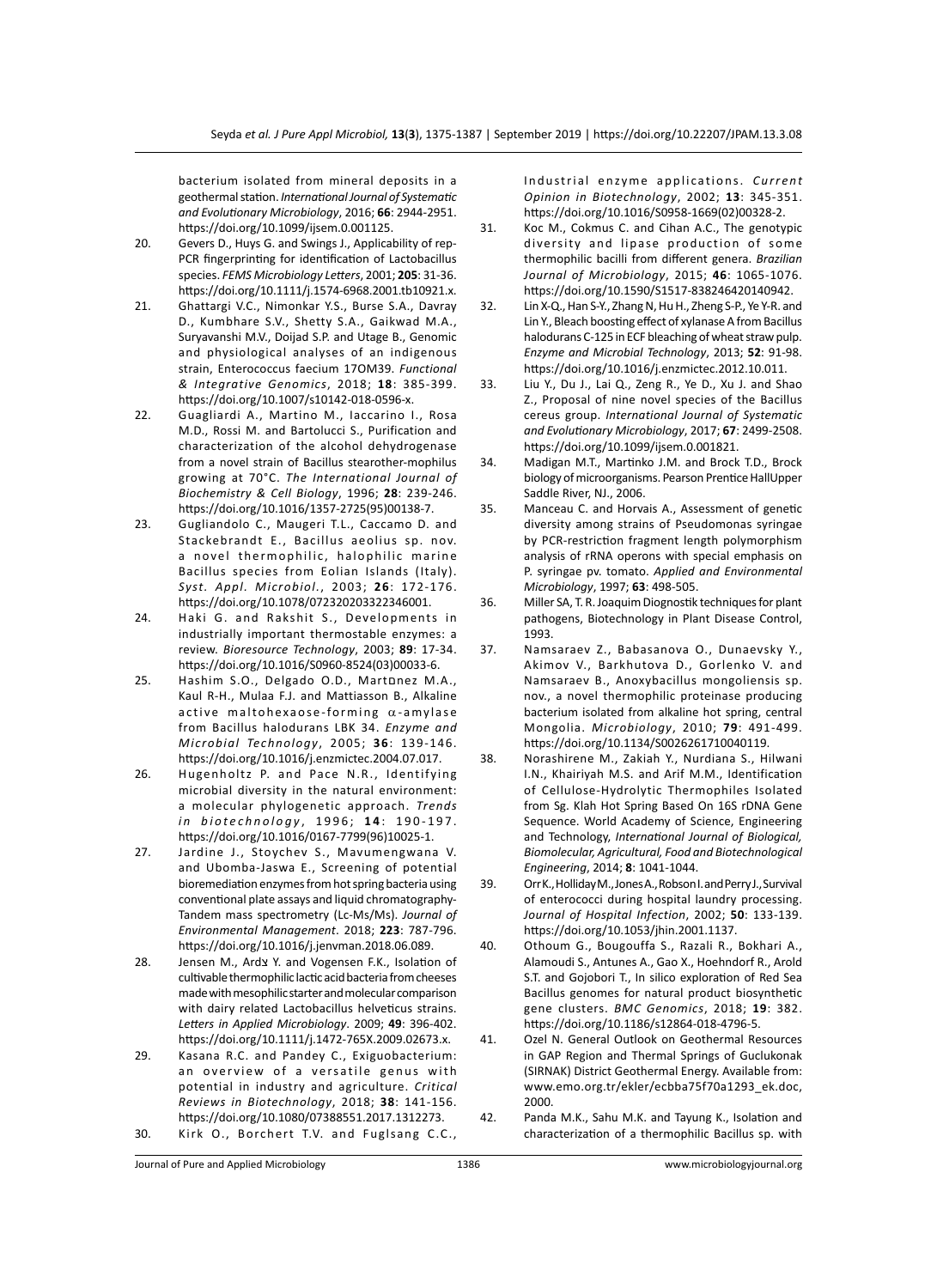bacterium isolated from mineral deposits in a geothermal station. *International Journal of Systematic and Evolutionary Microbiology*, 2016; **66**: 2944-2951. https://doi.org/10.1099/ijsem.0.001125.

- 20. Gevers D., Huys G. and Swings J., Applicability of rep-PCR fingerprinting for identification of Lactobacillus species. *FEMS Microbiology Letters*, 2001; **205**: 31-36. https://doi.org/10.1111/j.1574-6968.2001.tb10921.x.
- 21. Ghattargi V.C., Nimonkar Y.S., Burse S.A., Davray D., Kumbhare S.V., Shetty S.A., Gaikwad M.A., Suryavanshi M.V., Doijad S.P. and Utage B., Genomic and physiological analyses of an indigenous strain, Enterococcus faecium 17OM39. *Functional & Integrative Genomics*, 2018; **18**: 385-399. https://doi.org/10.1007/s10142-018-0596-x.
- 22. Guagliardi A., Martino M., Iaccarino I., Rosa M.D., Rossi M. and Bartolucci S., Purification and characterization of the alcohol dehydrogenase from a novel strain of Bacillus stearother-mophilus growing at 70°C. *The International Journal of Biochemistry & Cell Biology*, 1996; **28**: 239-246. https://doi.org/10.1016/1357-2725(95)00138-7.
- 23. Gugliandolo C., Maugeri T.L., Caccamo D. and Stackebrandt E., Bacillus aeolius sp. nov. a novel thermophilic, halophilic marine Bacillus species from Eolian Islands (Italy). *Syst. Appl. Microbiol.*, 2003; **26**: 172-176. https://doi.org/10.1078/072320203322346001.
- 24. Haki G. and Rakshit S., Developments in industrially important thermostable enzymes: a review. *Bioresource Technology*, 2003; **89**: 17-34. https://doi.org/10.1016/S0960-8524(03)00033-6.
- 25. Hashim S.O., Delgado O.D., Martםnez M.A., Kaul R-H., Mulaa F.J. and Mattiasson B., Alkaline active maltohexaose-forming  $\alpha$ -amylase from Bacillus halodurans LBK 34. *Enzyme and Microbial Technology*, 2005; **36**: 139-146. https://doi.org/10.1016/j.enzmictec.2004.07.017.
- 26. Hugenholtz P. and Pace N.R., Identifying microbial diversity in the natural environment: a molecular phylogenetic approach. *Trends in biotechnology* , 1996; **1 4** : 190-197. https://doi.org/10.1016/0167-7799(96)10025-1.
- 27. Jardine J., Stoychev S., Mavumengwana V. and Ubomba-Jaswa E., Screening of potential bioremediation enzymes from hot spring bacteria using conventional plate assays and liquid chromatography-Tandem mass spectrometry (Lc-Ms/Ms). *Journal of Environmental Management*. 2018; **223**: 787-796. https://doi.org/10.1016/j.jenvman.2018.06.089.
- 28. Jensen M., Ardצ Y. and Vogensen F.K., Isolation of cultivable thermophilic lactic acid bacteria from cheeses made with mesophilic starter and molecular comparison with dairy related Lactobacillus helveticus strains. *Letters in Applied Microbiology*. 2009; **49**: 396-402. https://doi.org/10.1111/j.1472-765X.2009.02673.x.
- 29. Kasana R.C. and Pandey C., Exiguobacterium: an overview of a versatile genus with potential in industry and agriculture. *Critical Reviews in Biotechnology*, 2018; **38**: 141-156. https://doi.org/10.1080/07388551.2017.1312273. 30. Kirk O., Borchert T.V. and Fuglsang C.C.,

Industrial enzyme applications. *Current Opinion in Biotechnology*, 2002; **13**: 345-351. https://doi.org/10.1016/S0958-1669(02)00328-2.

- 31. Koc M., Cokmus C. and Cihan A.C., The genotypic diversity and lipase production of some thermophilic bacilli from different genera. *Brazilian Journal of Microbiology*, 2015; **46**: 1065-1076. https://doi.org/10.1590/S1517-838246420140942.
- 32. Lin X-Q., Han S-Y., Zhang N, Hu H., Zheng S-P., Ye Y-R. and Lin Y., Bleach boosting effect of xylanase A from Bacillus halodurans C-125 in ECF bleaching of wheat straw pulp. *Enzyme and Microbial Technology*, 2013; **52**: 91-98. https://doi.org/10.1016/j.enzmictec.2012.10.011.
- 33. Liu Y., Du J., Lai Q., Zeng R., Ye D., Xu J. and Shao Z., Proposal of nine novel species of the Bacillus cereus group. *International Journal of Systematic and Evolutionary Microbiology*, 2017; **67**: 2499-2508. https://doi.org/10.1099/ijsem.0.001821.
- 34. Madigan M.T., Martinko J.M. and Brock T.D., Brock biology of microorganisms. Pearson Prentice HallUpper Saddle River, NJ., 2006.
- 35. Manceau C. and Horvais A., Assessment of genetic diversity among strains of Pseudomonas syringae by PCR-restriction fragment length polymorphism analysis of rRNA operons with special emphasis on P. syringae pv. tomato. *Applied and Environmental Microbiology*, 1997; **63**: 498-505.
- 36. Miller SA, T. R. Joaquim Diognostik techniques for plant pathogens, Biotechnology in Plant Disease Control, 1993.
- 37. Namsaraev Z., Babasanova O., Dunaevsky Y., Akimov V., Barkhutova D., Gorlenko V. and Namsaraev B., Anoxybacillus mongoliensis sp. nov., a novel thermophilic proteinase producing bacterium isolated from alkaline hot spring, central Mongolia. *Microbiology*, 2010; **79**: 491-499. https://doi.org/10.1134/S0026261710040119.
- 38. Norashirene M., Zakiah Y., Nurdiana S., Hilwani I.N., Khairiyah M.S. and Arif M.M., Identification of Cellulose-Hydrolytic Thermophiles Isolated from Sg. Klah Hot Spring Based On 16S rDNA Gene Sequence. World Academy of Science, Engineering and Technology, *International Journal of Biological, Biomolecular, Agricultural, Food and Biotechnological Engineering*, 2014; **8**: 1041-1044.
- 39. Orr K., Holliday M., Jones A., Robson I. and Perry J., Survival of enterococci during hospital laundry processing. *Journal of Hospital Infection*, 2002; **50**: 133-139. https://doi.org/10.1053/jhin.2001.1137.
- 40. Othoum G., Bougouffa S., Razali R., Bokhari A., Alamoudi S., Antunes A., Gao X., Hoehndorf R., Arold S.T. and Gojobori T., In silico exploration of Red Sea Bacillus genomes for natural product biosynthetic gene clusters. *BMC Genomics*, 2018; **19**: 382. https://doi.org/10.1186/s12864-018-4796-5.
- 41. Ozel N. General Outlook on Geothermal Resources in GAP Region and Thermal Springs of Guclukonak (SIRNAK) District Geothermal Energy. Available from: www.emo.org.tr/ekler/ecbba75f70a1293\_ek.doc, 2000.
- 42. Panda M.K., Sahu M.K. and Tayung K., Isolation and characterization of a thermophilic Bacillus sp. with

Journal of Pure and Applied Microbiology 1386 www.microbiologyjournal.org